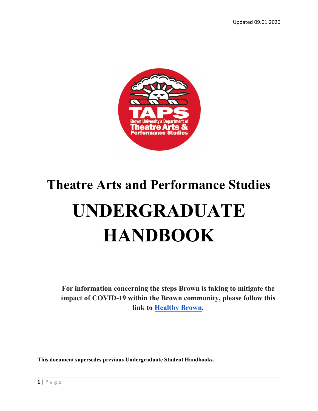

# **Theatre Arts and Performance Studies UNDERGRADUATE HANDBOOK**

**For information concerning the steps Brown is taking to mitigate the impact of COVID-19 within the Brown community, please follow this link to [Healthy Brown.](https://healthy.brown.edu/)**

**This document supersedes previous Undergraduate Student Handbooks.**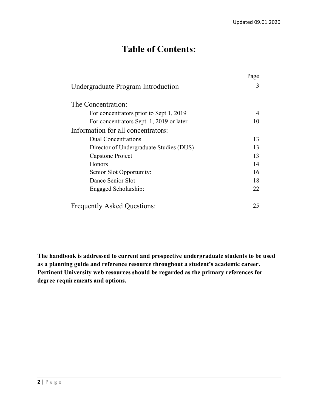## **Table of Contents:**

|                                          | Page |
|------------------------------------------|------|
| Undergraduate Program Introduction       | 3    |
| The Concentration:                       |      |
| For concentrators prior to Sept 1, 2019  | 4    |
| For concentrators Sept. 1, 2019 or later | 10   |
| Information for all concentrators:       |      |
| Dual Concentrations                      | 13   |
| Director of Undergraduate Studies (DUS)  | 13   |
| Capstone Project                         | 13   |
| Honors                                   | 14   |
| Senior Slot Opportunity:                 | 16   |
| Dance Senior Slot                        | 18   |
| Engaged Scholarship:                     | 22   |
| <b>Frequently Asked Questions:</b>       | 25   |

**The handbook is addressed to current and prospective undergraduate students to be used as a planning guide and reference resource throughout a student's academic career. Pertinent University web resources should be regarded as the primary references for degree requirements and options.**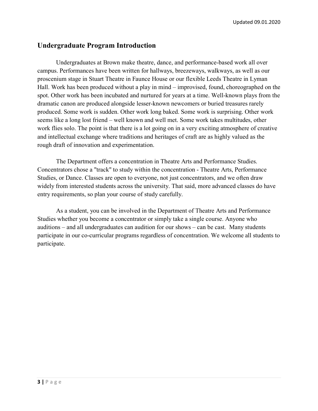### **Undergraduate Program Introduction**

Undergraduates at Brown make theatre, dance, and performance-based work all over campus. Performances have been written for hallways, breezeways, walkways, as well as our proscenium stage in Stuart Theatre in Faunce House or our flexible Leeds Theatre in Lyman Hall. Work has been produced without a play in mind – improvised, found, choreographed on the spot. Other work has been incubated and nurtured for years at a time. Well-known plays from the dramatic canon are produced alongside lesser-known newcomers or buried treasures rarely produced. Some work is sudden. Other work long baked. Some work is surprising. Other work seems like a long lost friend – well known and well met. Some work takes multitudes, other work flies solo. The point is that there is a lot going on in a very exciting atmosphere of creative and intellectual exchange where traditions and heritages of craft are as highly valued as the rough draft of innovation and experimentation.

The Department offers a concentration in Theatre Arts and Performance Studies. Concentrators chose a "track" to study within the concentration - Theatre Arts, Performance Studies, or Dance. Classes are open to everyone, not just concentrators, and we often draw widely from interested students across the university. That said, more advanced classes do have entry requirements, so plan your course of study carefully.

As a student, you can be involved in the Department of Theatre Arts and Performance Studies whether you become a concentrator or simply take a single course. Anyone who auditions – and all undergraduates can audition for our shows – can be cast. Many students participate in our co-curricular programs regardless of concentration. We welcome all students to participate.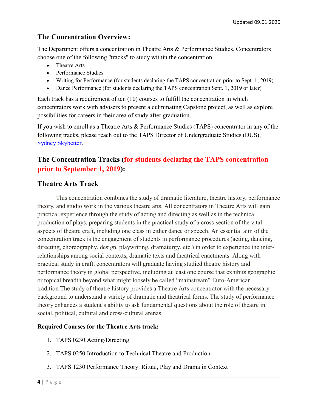## **The Concentration Overview:**

The Department offers a concentration in Theatre Arts & Performance Studies. Concentrators choose one of the following "tracks" to study within the concentration:

- Theatre Arts
- Performance Studies
- Writing for Performance (for students declaring the TAPS concentration prior to Sept. 1, 2019)
- Dance Performance (for students declaring the TAPS concentration Sept. 1, 2019 or later)

Each track has a requirement of ten (10) courses to fulfill the concentration in which concentrators work with advisers to present a culminating Capstone project, as well as explore possibilities for careers in their area of study after graduation.

If you wish to enroll as a Theatre Arts & Performance Studies (TAPS) concentrator in any of the following tracks, please reach out to the TAPS Director of Undergraduate Studies (DUS), [Sydney Skybetter.](mailto:sydney_skybetter@brown.edu)

## **The Concentration Tracks (for students declaring the TAPS concentration prior to September 1, 2019):**

## **Theatre Arts Track**

This concentration combines the study of dramatic literature, theatre history, performance theory, and studio work in the various theatre arts. All concentrators in Theatre Arts will gain practical experience through the study of acting and directing as well as in the technical production of plays, preparing students in the practical study of a cross-section of the vital aspects of theatre craft, including one class in either dance or speech. An essential aim of the concentration track is the engagement of students in performance procedures (acting, dancing, directing, choreography, design, playwriting, dramaturgy, etc.) in order to experience the interrelationships among social contexts, dramatic texts and theatrical enactments. Along with practical study in craft, concentrators will graduate having studied theatre history and performance theory in global perspective, including at least one course that exhibits geographic or topical breadth beyond what might loosely be called "mainstream" Euro-American tradition The study of theatre history provides a Theatre Arts concentrator with the necessary background to understand a variety of dramatic and theatrical forms. The study of performance theory enhances a student's ability to ask fundamental questions about the role of theatre in social, political, cultural and cross-cultural arenas.

### **Required Courses for the Theatre Arts track:**

- 1. TAPS 0230 Acting/Directing
- 2. TAPS 0250 Introduction to Technical Theatre and Production
- 3. TAPS 1230 Performance Theory: Ritual, Play and Drama in Context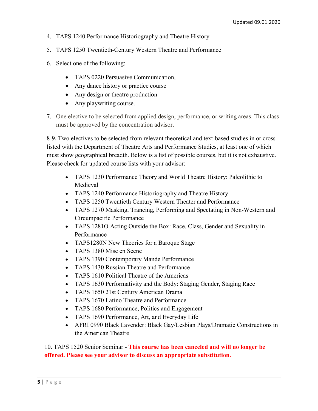- 4. TAPS 1240 Performance Historiography and Theatre History
- 5. TAPS 1250 Twentieth-Century Western Theatre and Performance
- 6. Select one of the following:
	- TAPS 0220 Persuasive Communication,
	- Any dance history or practice course
	- Any design or theatre production
	- Any playwriting course.
- 7. One elective to be selected from applied design, performance, or writing areas. This class must be approved by the concentration advisor.

8-9. Two electives to be selected from relevant theoretical and text-based studies in or crosslisted with the Department of Theatre Arts and Performance Studies, at least one of which must show geographical breadth. Below is a list of possible courses, but it is not exhaustive. Please check for updated course lists with your advisor:

- TAPS 1230 Performance Theory and World Theatre History: Paleolithic to Medieval
- TAPS 1240 Performance Historiography and Theatre History
- TAPS 1250 Twentieth Century Western Theater and Performance
- TAPS 1270 Masking, Trancing, Performing and Spectating in Non-Western and Circumpacific Performance
- TAPS 1281O Acting Outside the Box: Race, Class, Gender and Sexuality in Performance
- TAPS1280N New Theories for a Baroque Stage
- TAPS 1380 Mise en Scene
- TAPS 1390 Contemporary Mande Performance
- TAPS 1430 Russian Theatre and Performance
- TAPS 1610 Political Theatre of the Americas
- TAPS 1630 Performativity and the Body: Staging Gender, Staging Race
- TAPS 1650 21st Century American Drama
- TAPS 1670 Latino Theatre and Performance
- TAPS 1680 Performance, Politics and Engagement
- TAPS 1690 Performance, Art, and Everyday Life
- AFRI 0990 Black Lavender: Black Gay/Lesbian Plays/Dramatic Constructions in the American Theatre

10. TAPS 1520 Senior Seminar - **This course has been canceled and will no longer be offered. Please see your advisor to discuss an appropriate substitution.**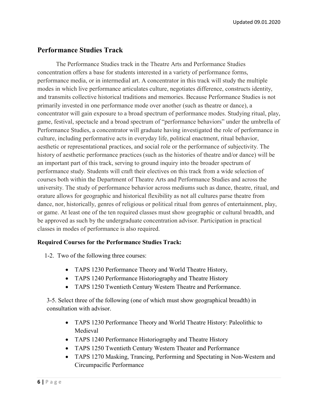Updated 09.01.2020

### **Performance Studies Track**

The Performance Studies track in the Theatre Arts and Performance Studies concentration offers a base for students interested in a variety of performance forms, performance media, or in intermedial art. A concentrator in this track will study the multiple modes in which live performance articulates culture, negotiates difference, constructs identity, and transmits collective historical traditions and memories. Because Performance Studies is not primarily invested in one performance mode over another (such as theatre or dance), a concentrator will gain exposure to a broad spectrum of performance modes. Studying ritual, play, game, festival, spectacle and a broad spectrum of "performance behaviors" under the umbrella of Performance Studies, a concentrator will graduate having investigated the role of performance in culture, including performative acts in everyday life, political enactment, ritual behavior, aesthetic or representational practices, and social role or the performance of subjectivity. The history of aesthetic performance practices (such as the histories of theatre and/or dance) will be an important part of this track, serving to ground inquiry into the broader spectrum of performance study. Students will craft their electives on this track from a wide selection of courses both within the Department of Theatre Arts and Performance Studies and across the university. The study of performance behavior across mediums such as dance, theatre, ritual, and orature allows for geographic and historical flexibility as not all cultures parse theatre from dance, nor, historically, genres of religious or political ritual from genres of entertainment, play, or game. At least one of the ten required classes must show geographic or cultural breadth, and be approved as such by the undergraduate concentration advisor. Participation in practical classes in modes of performance is also required.

#### **Required Courses for the Performance Studies Track:**

- 1-2. Two of the following three courses:
	- TAPS 1230 Performance Theory and World Theatre History,
	- TAPS 1240 Performance Historiography and Theatre History
	- TAPS 1250 Twentieth Century Western Theatre and Performance.

3-5. Select three of the following (one of which must show geographical breadth) in consultation with advisor.

- TAPS 1230 Performance Theory and World Theatre History: Paleolithic to Medieval
- TAPS 1240 Performance Historiography and Theatre History
- TAPS 1250 Twentieth Century Western Theater and Performance
- TAPS 1270 Masking, Trancing, Performing and Spectating in Non-Western and Circumpacific Performance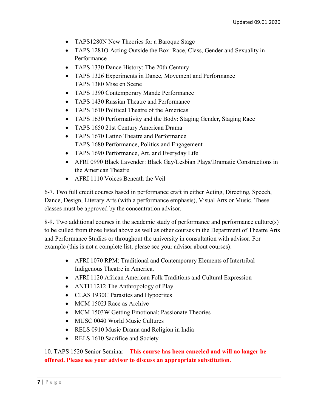- TAPS1280N New Theories for a Baroque Stage
- TAPS 1281O Acting Outside the Box: Race, Class, Gender and Sexuality in Performance
- TAPS 1330 Dance History: The 20th Century
- TAPS 1326 Experiments in Dance, Movement and Performance TAPS 1380 Mise en Scene
- TAPS 1390 Contemporary Mande Performance
- TAPS 1430 Russian Theatre and Performance
- TAPS 1610 Political Theatre of the Americas
- TAPS 1630 Performativity and the Body: Staging Gender, Staging Race
- TAPS 1650 21st Century American Drama
- TAPS 1670 Latino Theatre and Performance TAPS 1680 Performance, Politics and Engagement
- TAPS 1690 Performance, Art, and Everyday Life
- AFRI 0990 Black Lavender: Black Gay/Lesbian Plays/Dramatic Constructions in the American Theatre
- AFRI 1110 Voices Beneath the Veil

6-7. Two full credit courses based in performance craft in either Acting, Directing, Speech, Dance, Design, Literary Arts (with a performance emphasis), Visual Arts or Music. These classes must be approved by the concentration advisor.

8-9. Two additional courses in the academic study of performance and performance culture(s) to be culled from those listed above as well as other courses in the Department of Theatre Arts and Performance Studies or throughout the university in consultation with advisor. For example (this is not a complete list, please see your advisor about courses):

- AFRI 1070 RPM: Traditional and Contemporary Elements of Intertribal Indigenous Theatre in America.
- AFRI 1120 African American Folk Traditions and Cultural Expression
- ANTH 1212 The Anthropology of Play
- CLAS 1930C Parasites and Hypocrites
- MCM 1502J Race as Archive
- MCM 1503W Getting Emotional: Passionate Theories
- MUSC 0040 World Music Cultures
- RELS 0910 Music Drama and Religion in India
- RELS 1610 Sacrifice and Society

10. TAPS 1520 Senior Seminar – **This course has been canceled and will no longer be offered. Please see your advisor to discuss an appropriate substitution.**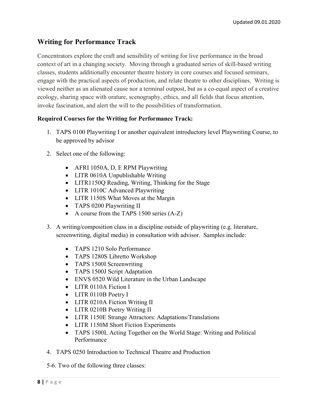## **Writing for Performance Track**

Concentrators explore the craft and sensibility of writing for live performance in the broad context of art in a changing society. Moving through a graduated series of skill-based writing classes, students additionally encounter theatre history in core courses and focused seminars, engage with the practical aspects of production, and relate theatre to other disciplines. Writing is viewed neither as an alienated cause nor a terminal outpost, but as a co-equal aspect of a creative ecology, sharing space with orature, scenography, ethics, and all fields that focus attention, invoke fascination, and alert the will to the possibilities of transformation.

#### **Required Courses for the Writing for Performance Track:**

- 1. TAPS 0100 Playwriting I or another equivalent introductory level Playwriting Course, to be approved by advisor
- 2. Select one of the following:
	- AFRI 1050A, D, E RPM Playwriting
	- LITR 0610A Unpublishable Writing
	- LITR1150Q Reading, Writing, Thinking for the Stage
	- LITR 1010C Advanced Playwriting
	- LITR 1150S What Moves at the Margin
	- TAPS 0200 Playwriting II
	- A course from the TAPS 1500 series (A-Z)
- 3. A writing/composition class in a discipline outside of playwriting (e.g. literature, screenwriting, digital media) in consultation with advisor. Samples include:
	- TAPS 1210 Solo Performance
	- TAPS 1280S Libretto Workshop
	- TAPS 1500I Screenwriting
	- TAPS 1500J Script Adaptation
	- ENVS 0520 Wild Literature in the Urban Landscape
	- LITR 0110A Fiction I
	- LITR 0110B Poetry I
	- LITR 0210A Fiction Writing II
	- LITR 0210B Poetry Writing II
	- LITR 1150E Strange Attractors: Adaptations/Translations
	- LITR 1150M Short Fiction Experiments
	- TAPS 1500L Acting Together on the World Stage: Writing and Political Performance
- 4. TAPS 0250 Introduction to Technical Theatre and Production
- 5-6. Two of the following three classes: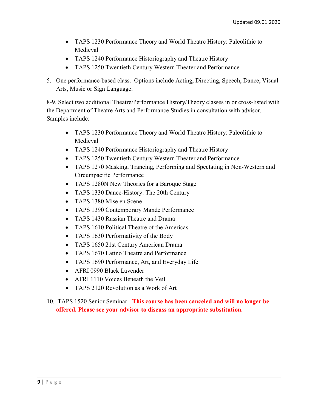- TAPS 1230 Performance Theory and World Theatre History: Paleolithic to Medieval
- TAPS 1240 Performance Historiography and Theatre History
- TAPS 1250 Twentieth Century Western Theater and Performance
- 5. One performance-based class. Options include Acting, Directing, Speech, Dance, Visual Arts, Music or Sign Language.

8-9. Select two additional Theatre/Performance History/Theory classes in or cross-listed with the Department of Theatre Arts and Performance Studies in consultation with advisor. Samples include:

- TAPS 1230 Performance Theory and World Theatre History: Paleolithic to Medieval
- TAPS 1240 Performance Historiography and Theatre History
- TAPS 1250 Twentieth Century Western Theater and Performance
- TAPS 1270 Masking, Trancing, Performing and Spectating in Non-Western and Circumpacific Performance
- TAPS 1280N New Theories for a Baroque Stage
- TAPS 1330 Dance-History: The 20th Century
- TAPS 1380 Mise en Scene
- TAPS 1390 Contemporary Mande Performance
- TAPS 1430 Russian Theatre and Drama
- TAPS 1610 Political Theatre of the Americas
- TAPS 1630 Performativity of the Body
- TAPS 1650 21st Century American Drama
- TAPS 1670 Latino Theatre and Performance
- TAPS 1690 Performance, Art, and Everyday Life
- AFRI 0990 Black Lavender
- AFRI 1110 Voices Beneath the Veil
- TAPS 2120 Revolution as a Work of Art
- 10. TAPS 1520 Senior Seminar **This course has been canceled and will no longer be offered. Please see your advisor to discuss an appropriate substitution.**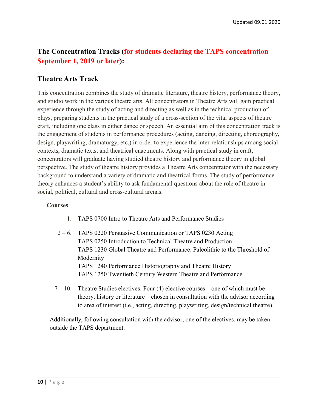## **The Concentration Tracks (for students declaring the TAPS concentration September 1, 2019 or later):**

## **Theatre Arts Track**

This concentration combines the study of dramatic literature, theatre history, performance theory, and studio work in the various theatre arts. All concentrators in Theatre Arts will gain practical experience through the study of acting and directing as well as in the technical production of plays, preparing students in the practical study of a cross-section of the vital aspects of theatre craft, including one class in either dance or speech. An essential aim of this concentration track is the engagement of students in performance procedures (acting, dancing, directing, choreography, design, playwriting, dramaturgy, etc.) in order to experience the inter-relationships among social contexts, dramatic texts, and theatrical enactments. Along with practical study in craft, concentrators will graduate having studied theatre history and performance theory in global perspective. The study of theatre history provides a Theatre Arts concentrator with the necessary background to understand a variety of dramatic and theatrical forms. The study of performance theory enhances a student's ability to ask fundamental questions about the role of theatre in social, political, cultural and cross-cultural arenas.

#### **Courses**

- 1. TAPS 0700 Intro to Theatre Arts and Performance Studies
- 2 6. TAPS 0220 Persuasive Communication or TAPS 0230 Acting TAPS 0250 Introduction to Technical Theatre and Production TAPS 1230 Global Theatre and Performance: Paleolithic to the Threshold of Modernity TAPS 1240 Performance Historiography and Theatre History TAPS 1250 Twentieth Century Western Theatre and Performance
- 7 10. Theatre Studies electives: Four (4) elective courses one of which must be theory, history or literature – chosen in consultation with the advisor according to area of interest (i.e., acting, directing, playwriting, design/technical theatre).

Additionally, following consultation with the advisor, one of the electives, may be taken outside the TAPS department.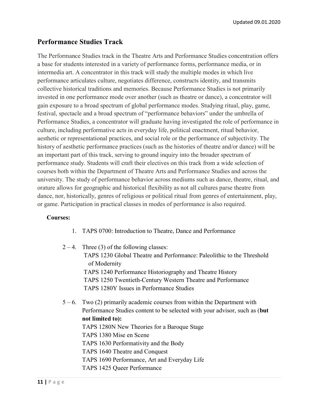Updated 09.01.2020

## **Performance Studies Track**

The Performance Studies track in the Theatre Arts and Performance Studies concentration offers a base for students interested in a variety of performance forms, performance media, or in intermedia art. A concentrator in this track will study the multiple modes in which live performance articulates culture, negotiates difference, constructs identity, and transmits collective historical traditions and memories. Because Performance Studies is not primarily invested in one performance mode over another (such as theatre or dance), a concentrator will gain exposure to a broad spectrum of global performance modes. Studying ritual, play, game, festival, spectacle and a broad spectrum of "performance behaviors" under the umbrella of Performance Studies, a concentrator will graduate having investigated the role of performance in culture, including performative acts in everyday life, political enactment, ritual behavior, aesthetic or representational practices, and social role or the performance of subjectivity. The history of aesthetic performance practices (such as the histories of theatre and/or dance) will be an important part of this track, serving to ground inquiry into the broader spectrum of performance study. Students will craft their electives on this track from a wide selection of courses both within the Department of Theatre Arts and Performance Studies and across the university. The study of performance behavior across mediums such as dance, theatre, ritual, and orature allows for geographic and historical flexibility as not all cultures parse theatre from dance, nor, historically, genres of religious or political ritual from genres of entertainment, play, or game. Participation in practical classes in modes of performance is also required.

#### **Courses:**

1. TAPS 0700: Introduction to Theatre, Dance and Performance

 $2 - 4$ . Three (3) of the following classes: TAPS 1230 Global Theatre and Performance: Paleolithic to the Threshold of Modernity TAPS 1240 Performance Historiography and Theatre History TAPS 1250 Twentieth-Century Western Theatre and Performance TAPS 1280Y Issues in Performance Studies

 $5 - 6$ . Two (2) primarily academic courses from within the Department with Performance Studies content to be selected with your advisor, such as (**but not limited to):** TAPS 1280N New Theories for a Baroque Stage TAPS 1380 Mise en Scene TAPS 1630 Performativity and the Body TAPS 1640 Theatre and Conquest TAPS 1690 Performance, Art and Everyday Life TAPS 1425 Queer Performance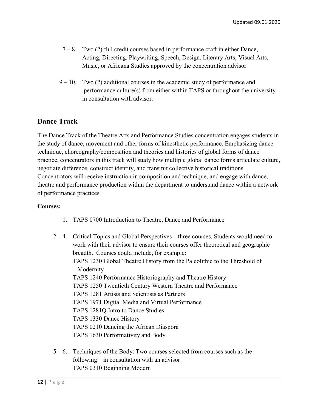- 7 8. Two (2) full credit courses based in performance craft in either Dance, Acting, Directing, Playwriting, Speech, Design, Literary Arts, Visual Arts, Music, or Africana Studies approved by the concentration advisor.
- $9 10$ . Two (2) additional courses in the academic study of performance and performance culture(s) from either within TAPS or throughout the university in consultation with advisor.

## **Dance Track**

The Dance Track of the Theatre Arts and Performance Studies concentration engages students in the study of dance, movement and other forms of kinesthetic performance. Emphasizing dance technique, choreography/composition and theories and histories of global forms of dance practice, concentrators in this track will study how multiple global dance forms articulate culture, negotiate difference, construct identity, and transmit collective historical traditions. Concentrators will receive instruction in composition and technique, and engage with dance, theatre and performance production within the department to understand dance within a network of performance practices.

#### **Courses:**

- 1. TAPS 0700 Introduction to Theatre, Dance and Performance
- 2 4. Critical Topics and Global Perspectives three courses. Students would need to work with their advisor to ensure their courses offer theoretical and geographic breadth. Courses could include, for example: TAPS 1230 Global Theatre History from the Paleolithic to the Threshold of Modernity TAPS 1240 Performance Historiography and Theatre History TAPS 1250 Twentieth Century Western Theatre and Performance TAPS 1281 Artists and Scientists as Partners TAPS 1971 Digital Media and Virtual Performance TAPS 1281Q Intro to Dance Studies TAPS 1330 Dance History TAPS 0210 Dancing the African Diaspora TAPS 1630 Performativity and Body
- 5 6. Techniques of the Body: Two courses selected from courses such as the following – in consultation with an advisor: TAPS 0310 Beginning Modern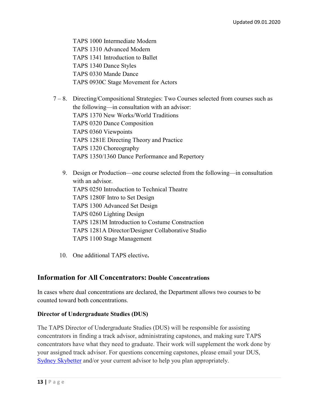TAPS 1000 Intermediate Modern TAPS 1310 Advanced Modern TAPS 1341 Introduction to Ballet TAPS 1340 Dance Styles TAPS 0330 Mande Dance TAPS 0930C Stage Movement for Actors

7 – 8. Directing/Compositional Strategies: Two Courses selected from courses such as the following—in consultation with an advisor: TAPS 1370 New Works/World Traditions TAPS 0320 Dance Composition TAPS 0360 Viewpoints TAPS 1281E Directing Theory and Practice TAPS 1320 Choreography TAPS 1350/1360 Dance Performance and Repertory

9. Design or Production—one course selected from the following—in consultation with an advisor. TAPS 0250 Introduction to Technical Theatre TAPS 1280F Intro to Set Design TAPS 1300 Advanced Set Design TAPS 0260 Lighting Design TAPS 1281M Introduction to Costume Construction TAPS 1281A Director/Designer Collaborative Studio TAPS 1100 Stage Management

10. One additional TAPS elective**.**

### **Information for All Concentrators: Double Concentrations**

In cases where dual concentrations are declared, the Department allows two courses to be counted toward both concentrations.

#### **Director of Undergraduate Studies (DUS)**

The TAPS Director of Undergraduate Studies (DUS) will be responsible for assisting concentrators in finding a track advisor, administrating capstones, and making sure TAPS concentrators have what they need to graduate. Their work will supplement the work done by your assigned track advisor. For questions concerning capstones, please email your DUS, [Sydney Skybetter](mailto:sydney_skybetter@brown.edu) and/or your current advisor to help you plan appropriately.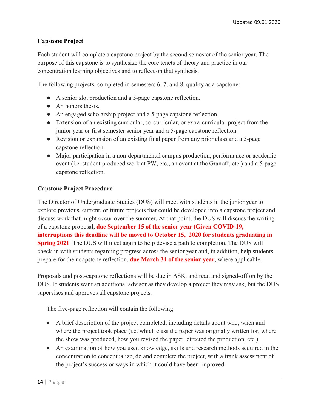#### **Capstone Project**

Each student will complete a capstone project by the second semester of the senior year. The purpose of this capstone is to synthesize the core tenets of theory and practice in our concentration learning objectives and to reflect on that synthesis.

The following projects, completed in semesters 6, 7, and 8, qualify as a capstone:

- A senior slot production and a 5-page capstone reflection.
- An honors thesis.
- An engaged scholarship project and a 5-page capstone reflection.
- Extension of an existing curricular, co-curricular, or extra-curricular project from the junior year or first semester senior year and a 5-page capstone reflection.
- Revision or expansion of an existing final paper from any prior class and a 5-page capstone reflection.
- Major participation in a non-departmental campus production, performance or academic event (i.e. student produced work at PW, etc., an event at the Granoff, etc.) and a 5-page capstone reflection.

#### **Capstone Project Procedure**

The Director of Undergraduate Studies (DUS) will meet with students in the junior year to explore previous, current, or future projects that could be developed into a capstone project and discuss work that might occur over the summer. At that point, the DUS will discuss the writing of a capstone proposal, **due September 15 of the senior year (Given COVID-19, interruptions this deadline will be moved to October 15, 2020 for students graduating in Spring 2021**. The DUS will meet again to help devise a path to completion. The DUS will check-in with students regarding progress across the senior year and, in addition, help students prepare for their capstone reflection, **due March 31 of the senior year**, where applicable.

Proposals and post-capstone reflections will be due in ASK, and read and signed-off on by the DUS. If students want an additional advisor as they develop a project they may ask, but the DUS supervises and approves all capstone projects.

The five-page reflection will contain the following:

- A brief description of the project completed, including details about who, when and where the project took place (i.e. which class the paper was originally written for, where the show was produced, how you revised the paper, directed the production, etc.)
- An examination of how you used knowledge, skills and research methods acquired in the concentration to conceptualize, do and complete the project, with a frank assessment of the project's success or ways in which it could have been improved.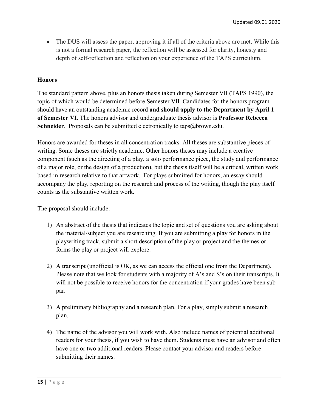• The DUS will assess the paper, approving it if all of the criteria above are met. While this is not a formal research paper, the reflection will be assessed for clarity, honesty and depth of self-reflection and reflection on your experience of the TAPS curriculum.

#### **Honors**

The standard pattern above, plus an honors thesis taken during Semester VII (TAPS 1990), the topic of which would be determined before Semester VII. Candidates for the honors program should have an outstanding academic record **and should apply to the Department by April 1 of Semester VI.** The honors advisor and undergraduate thesis advisor is **Professor Rebecca Schneider.** Proposals can be submitted electronically to taps@brown.edu.

Honors are awarded for theses in all concentration tracks. All theses are substantive pieces of writing. Some theses are strictly academic. Other honors theses may include a creative component (such as the directing of a play, a solo performance piece, the study and performance of a major role, or the design of a production), but the thesis itself will be a critical, written work based in research relative to that artwork. For plays submitted for honors, an essay should accompany the play, reporting on the research and process of the writing, though the play itself counts as the substantive written work.

The proposal should include:

- 1) An abstract of the thesis that indicates the topic and set of questions you are asking about the material/subject you are researching. If you are submitting a play for honors in the playwriting track, submit a short description of the play or project and the themes or forms the play or project will explore.
- 2) A transcript (unofficial is OK, as we can access the official one from the Department). Please note that we look for students with a majority of A's and S's on their transcripts. It will not be possible to receive honors for the concentration if your grades have been subpar.
- 3) A preliminary bibliography and a research plan. For a play, simply submit a research plan.
- 4) The name of the advisor you will work with. Also include names of potential additional readers for your thesis, if you wish to have them. Students must have an advisor and often have one or two additional readers. Please contact your advisor and readers before submitting their names.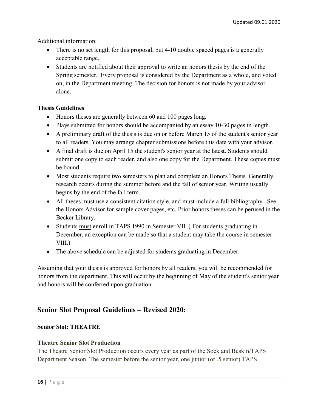Additional information:

- There is no set length for this proposal, but 4-10 double spaced pages is a generally acceptable range.
- Students are notified about their approval to write an honors thesis by the end of the Spring semester. Every proposal is considered by the Department as a whole, and voted on, in the Department meeting. The decision for honors is not made by your advisor alone.

#### **Thesis Guidelines**

- Honors theses are generally between 60 and 100 pages long.
- Plays submitted for honors should be accompanied by an essay 10-30 pages in length.
- A preliminary draft of the thesis is due on or before March 15 of the student's senior year to all readers. You may arrange chapter submissions before this date with your advisor.
- A final draft is due on April 15 the student's senior year at the latest. Students should submit one copy to each reader, and also one copy for the Department. These copies must be bound.
- Most students require two semesters to plan and complete an Honors Thesis. Generally, research occurs during the summer before and the fall of senior year. Writing usually begins by the end of the fall term.
- All theses must use a consistent citation style, and must include a full bibliography. See the Honors Advisor for sample cover pages, etc. Prior honors theses can be perused in the Becker Library.
- Students must enroll in TAPS 1990 in Semester VII. (For students graduating in December, an exception can be made so that a student may take the course in semester VIII.)
- The above schedule can be adjusted for students graduating in December.

Assuming that your thesis is approved for honors by all readers, you will be recommended for honors from the department. This will occur by the beginning of May of the student's senior year and honors will be conferred upon graduation.

## **Senior Slot Proposal Guidelines – Revised 2020:**

#### **Senior Slot: THEATRE**

#### **Theatre Senior Slot Production**

The Theatre Senior Slot Production occurs every year as part of the Sock and Buskin/TAPS Department Season. The semester before the senior year, one junior (or .5 senior) TAPS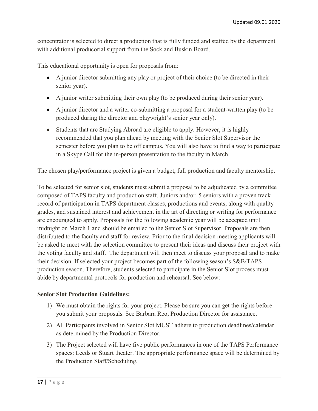concentrator is selected to direct a production that is fully funded and staffed by the department with additional producorial support from the Sock and Buskin Board.

This educational opportunity is open for proposals from:

- A junior director submitting any play or project of their choice (to be directed in their senior year).
- A junior writer submitting their own play (to be produced during their senior year).
- A junior director and a writer co-submitting a proposal for a student-written play (to be produced during the director and playwright's senior year only).
- Students that are Studying Abroad are eligible to apply. However, it is highly recommended that you plan ahead by meeting with the Senior Slot Supervisor the semester before you plan to be off campus. You will also have to find a way to participate in a Skype Call for the in-person presentation to the faculty in March.

The chosen play/performance project is given a budget, full production and faculty mentorship.

To be selected for senior slot, students must submit a proposal to be adjudicated by a committee composed of TAPS faculty and production staff. Juniors and/or .5 seniors with a proven track record of participation in TAPS department classes, productions and events, along with quality grades, and sustained interest and achievement in the art of directing or writing for performance are encouraged to apply. Proposals for the following academic year will be accepted until midnight on March 1 and should be emailed to the Senior Slot Supervisor. Proposals are then distributed to the faculty and staff for review. Prior to the final decision meeting applicants will be asked to meet with the selection committee to present their ideas and discuss their project with the voting faculty and staff. The department will then meet to discuss your proposal and to make their decision. If selected your project becomes part of the following season's S&B/TAPS production season. Therefore, students selected to participate in the Senior Slot process must abide by departmental protocols for production and rehearsal. See below:

#### **Senior Slot Production Guidelines:**

- 1) We must obtain the rights for your project. Please be sure you can get the rights before you submit your proposals. See Barbara Reo, Production Director for assistance.
- 2) All Participants involved in Senior Slot MUST adhere to production deadlines/calendar as determined by the Production Director.
- 3) The Project selected will have five public performances in one of the TAPS Performance spaces: Leeds or Stuart theater. The appropriate performance space will be determined by the Production Staff/Scheduling.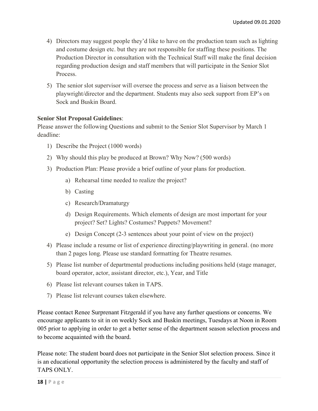- 4) Directors may suggest people they'd like to have on the production team such as lighting and costume design etc. but they are not responsible for staffing these positions. The Production Director in consultation with the Technical Staff will make the final decision regarding production design and staff members that will participate in the Senior Slot Process.
- 5) The senior slot supervisor will oversee the process and serve as a liaison between the playwright/director and the department. Students may also seek support from EP's on Sock and Buskin Board.

#### **Senior Slot Proposal Guidelines**:

Please answer the following Questions and submit to the Senior Slot Supervisor by March 1 deadline:

- 1) Describe the Project (1000 words)
- 2) Why should this play be produced at Brown? Why Now? (500 words)
- 3) Production Plan: Please provide a brief outline of your plans for production.
	- a) Rehearsal time needed to realize the project?
	- b) Casting
	- c) Research/Dramaturgy
	- d) Design Requirements. Which elements of design are most important for your project? Set? Lights? Costumes? Puppets? Movement?
	- e) Design Concept (2-3 sentences about your point of view on the project)
- 4) Please include a resume or list of experience directing/playwriting in general. (no more than 2 pages long. Please use standard formatting for Theatre resumes.
- 5) Please list number of departmental productions including positions held (stage manager, board operator, actor, assistant director, etc.), Year, and Title
- 6) Please list relevant courses taken in TAPS.
- 7) Please list relevant courses taken elsewhere.

Please contact Renee Surprenant Fitzgerald if you have any further questions or concerns. We encourage applicants to sit in on weekly Sock and Buskin meetings, Tuesdays at Noon in Room 005 prior to applying in order to get a better sense of the department season selection process and to become acquainted with the board.

Please note: The student board does not participate in the Senior Slot selection process. Since it is an educational opportunity the selection process is administered by the faculty and staff of TAPS ONLY.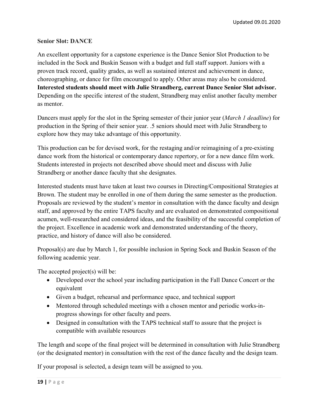#### **Senior Slot: DANCE**

An excellent opportunity for a capstone experience is the Dance Senior Slot Production to be included in the Sock and Buskin Season with a budget and full staff support. Juniors with a proven track record, quality grades, as well as sustained interest and achievement in dance, choreographing, or dance for film encouraged to apply. Other areas may also be considered. **Interested students should meet with Julie Strandberg, current Dance Senior Slot advisor.** Depending on the specific interest of the student, Strandberg may enlist another faculty member as mentor.

Dancers must apply for the slot in the Spring semester of their junior year (*March 1 deadline*) for production in the Spring of their senior year. .5 seniors should meet with Julie Strandberg to explore how they may take advantage of this opportunity.

This production can be for devised work, for the restaging and/or reimagining of a pre-existing dance work from the historical or contemporary dance repertory, or for a new dance film work. Students interested in projects not described above should meet and discuss with Julie Strandberg or another dance faculty that she designates.

Interested students must have taken at least two courses in Directing/Compositional Strategies at Brown. The student may be enrolled in one of them during the same semester as the production. Proposals are reviewed by the student's mentor in consultation with the dance faculty and design staff, and approved by the entire TAPS faculty and are evaluated on demonstrated compositional acumen, well-researched and considered ideas, and the feasibility of the successful completion of the project. Excellence in academic work and demonstrated understanding of the theory, practice, and history of dance will also be considered.

Proposal(s) are due by March 1, for possible inclusion in Spring Sock and Buskin Season of the following academic year.

The accepted project(s) will be:

- Developed over the school year including participation in the Fall Dance Concert or the equivalent
- Given a budget, rehearsal and performance space, and technical support
- Mentored through scheduled meetings with a chosen mentor and periodic works-inprogress showings for other faculty and peers.
- Designed in consultation with the TAPS technical staff to assure that the project is compatible with available resources

The length and scope of the final project will be determined in consultation with Julie Strandberg (or the designated mentor) in consultation with the rest of the dance faculty and the design team.

If your proposal is selected, a design team will be assigned to you.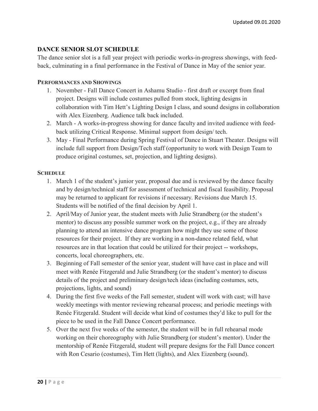#### **DANCE SENIOR SLOT SCHEDULE**

The dance senior slot is a full year project with periodic works-in-progress showings, with feedback, culminating in a final performance in the Festival of Dance in May of the senior year.

#### **PERFORMANCES AND SHOWINGS**

- 1. November Fall Dance Concert in Ashamu Studio first draft or excerpt from final project. Designs will include costumes pulled from stock, lighting designs in collaboration with Tim Hett's Lighting Design I class, and sound designs in collaboration with Alex Eizenberg. Audience talk back included.
- 2. March A works-in-progress showing for dance faculty and invited audience with feedback utilizing Critical Response. Minimal support from design/ tech.
- 3. May Final Performance during Spring Festival of Dance in Stuart Theater. Designs will include full support from Design/Tech staff (opportunity to work with Design Team to produce original costumes, set, projection, and lighting designs).

#### **SCHEDULE**

- 1. March 1 of the student's junior year, proposal due and is reviewed by the dance faculty and by design/technical staff for assessment of technical and fiscal feasibility. Proposal may be returned to applicant for revisions if necessary. Revisions due March 15. Students will be notified of the final decision by April 1.
- 2. April/May of Junior year, the student meets with Julie Strandberg (or the student's mentor) to discuss any possible summer work on the project, e.g., if they are already planning to attend an intensive dance program how might they use some of those resources for their project. If they are working in a non-dance related field, what resources are in that location that could be utilized for their project -- workshops, concerts, local choreographers, etc.
- 3. Beginning of Fall semester of the senior year, student will have cast in place and will meet with Renée Fitzgerald and Julie Strandberg (or the student's mentor) to discuss details of the project and preliminary design/tech ideas (including costumes, sets, projections, lights, and sound)
- 4. During the first five weeks of the Fall semester, student will work with cast; will have weekly meetings with mentor reviewing rehearsal process; and periodic meetings with Renée Fitzgerald. Student will decide what kind of costumes they'd like to pull for the piece to be used in the Fall Dance Concert performance.
- 5. Over the next five weeks of the semester, the student will be in full rehearsal mode working on their choreography with Julie Strandberg (or student's mentor). Under the mentorship of Renée Fitzgerald, student will prepare designs for the Fall Dance concert with Ron Cesario (costumes), Tim Hett (lights), and Alex Eizenberg (sound).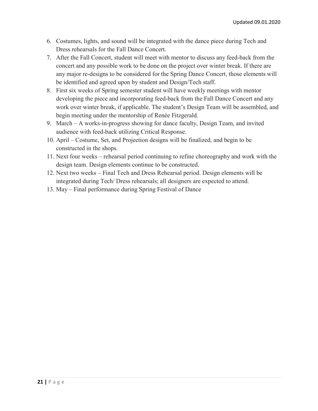- 6. Costumes, lights, and sound will be integrated with the dance piece during Tech and Dress rehearsals for the Fall Dance Concert.
- 7. After the Fall Concert, student will meet with mentor to discuss any feed-back from the concert and any possible work to be done on the project over winter break. If there are any major re-designs to be considered for the Spring Dance Concert, those elements will be identified and agreed upon by student and Design/Tech staff.
- 8. First six weeks of Spring semester student will have weekly meetings with mentor developing the piece and incorporating feed-back from the Fall Dance Concert and any work over winter break, if applicable. The student's Design Team will be assembled, and begin meeting under the mentorship of Renée Fitzgerald.
- 9. March A works-in-progress showing for dance faculty, Design Team, and invited audience with feed-back utilizing Critical Response.
- 10. April Costume, Set, and Projection designs will be finalized, and begin to be constructed in the shops.
- 11. Next four weeks rehearsal period continuing to refine choreography and work with the design team. Design elements continue to be constructed.
- 12. Next two weeks Final Tech and Dress Rehearsal period. Design elements will be integrated during Tech/ Dress rehearsals; all designers are expected to attend.
- 13. May Final performance during Spring Festival of Dance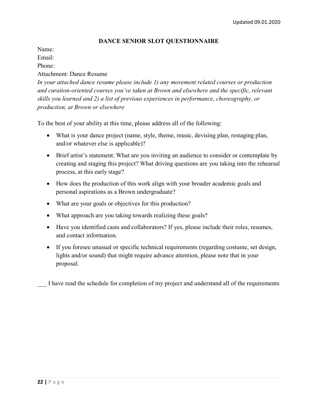#### **DANCE SENIOR SLOT QUESTIONNAIRE**

Name:

Email:

Phone:

Attachment: Dance Resume

*In your attached dance resume please include 1) any movement related courses or production and curation-oriented courses you've taken at Brown and elsewhere and the specific, relevant skills you learned and 2) a list of previous experiences in performance, choreography, or production, at Brown or elsewhere*

To the best of your ability at this time, please address all of the following:

- What is your dance project (name, style, theme, music, devising plan, restaging plan, and/or whatever else is applicable)?
- Brief artist's statement: What are you inviting an audience to consider or contemplate by creating and staging this project? What driving questions are you taking into the rehearsal process, at this early stage?
- How does the production of this work align with your broader academic goals and personal aspirations as a Brown undergraduate?
- What are your goals or objectives for this production?
- What approach are you taking towards realizing these goals?
- Have you identified casts and collaborators? If yes, please include their roles, resumes, and contact information.
- If you foresee unusual or specific technical requirements (regarding costume, set design, lights and/or sound) that might require advance attention, please note that in your proposal.

\_\_\_ I have read the schedule for completion of my project and understand all of the requirements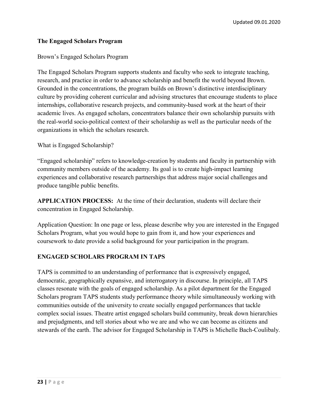#### **The Engaged Scholars Program**

#### Brown's Engaged Scholars Program

The Engaged Scholars Program supports students and faculty who seek to integrate teaching, research, and practice in order to advance scholarship and benefit the world beyond Brown. Grounded in the concentrations, the program builds on Brown's distinctive interdisciplinary culture by providing coherent curricular and advising structures that encourage students to place internships, collaborative research projects, and community-based work at the heart of their academic lives. As engaged scholars, concentrators balance their own scholarship pursuits with the real-world socio-political context of their scholarship as well as the particular needs of the organizations in which the scholars research.

What is Engaged Scholarship?

"Engaged scholarship" refers to knowledge-creation by students and faculty in partnership with community members outside of the academy. Its goal is to create high-impact learning experiences and collaborative research partnerships that address major social challenges and produce tangible public benefits.

**APPLICATION PROCESS:** At the time of their declaration, students will declare their concentration in Engaged Scholarship.

Application Question: In one page or less, please describe why you are interested in the Engaged Scholars Program, what you would hope to gain from it, and how your experiences and coursework to date provide a solid background for your participation in the program.

#### **ENGAGED SCHOLARS PROGRAM IN TAPS**

TAPS is committed to an understanding of performance that is expressively engaged, democratic, geographically expansive, and interrogatory in discourse. In principle, all TAPS classes resonate with the goals of engaged scholarship. As a pilot department for the Engaged Scholars program TAPS students study performance theory while simultaneously working with communities outside of the university to create socially engaged performances that tackle complex social issues. Theatre artist engaged scholars build community, break down hierarchies and prejudgments, and tell stories about who we are and who we can become as citizens and stewards of the earth. The advisor for Engaged Scholarship in TAPS is Michelle Bach-Coulibaly.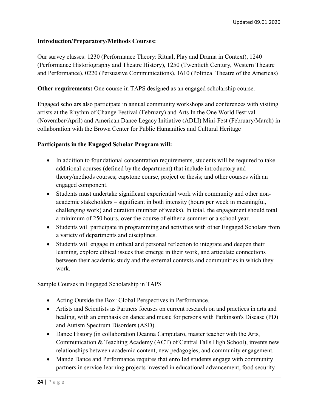#### **Introduction/Preparatory/Methods Courses:**

Our survey classes: 1230 (Performance Theory: Ritual, Play and Drama in Context), 1240 (Performance Historiography and Theatre History), 1250 (Twentieth Century, Western Theatre and Performance), 0220 (Persuasive Communications), 1610 (Political Theatre of the Americas)

**Other requirements:** One course in TAPS designed as an engaged scholarship course.

Engaged scholars also participate in annual community workshops and conferences with visiting artists at the Rhythm of Change Festival (February) and Arts In the One World Festival (November/April) and American Dance Legacy Initiative (ADLI) Mini-Fest (February/March) in collaboration with the Brown Center for Public Humanities and Cultural Heritage

#### **Participants in the Engaged Scholar Program will:**

- In addition to foundational concentration requirements, students will be required to take additional courses (defined by the department) that include introductory and theory/methods courses; capstone course, project or thesis; and other courses with an engaged component.
- Students must undertake significant experiential work with community and other nonacademic stakeholders – significant in both intensity (hours per week in meaningful, challenging work) and duration (number of weeks). In total, the engagement should total a minimum of 250 hours, over the course of either a summer or a school year.
- Students will participate in programming and activities with other Engaged Scholars from a variety of departments and disciplines.
- Students will engage in critical and personal reflection to integrate and deepen their learning, explore ethical issues that emerge in their work, and articulate connections between their academic study and the external contexts and communities in which they work.

Sample Courses in Engaged Scholarship in TAPS

- Acting Outside the Box: Global Perspectives in Performance.
- Artists and Scientists as Partners focuses on current research on and practices in arts and healing, with an emphasis on dance and music for persons with Parkinson's Disease (PD) and Autism Spectrum Disorders (ASD).
- Dance History (in collaboration Deanna Camputaro, master teacher with the Arts, Communication & Teaching Academy (ACT) of Central Falls High School), invents new relationships between academic content, new pedagogies, and community engagement.
- Mande Dance and Performance requires that enrolled students engage with community partners in service-learning projects invested in educational advancement, food security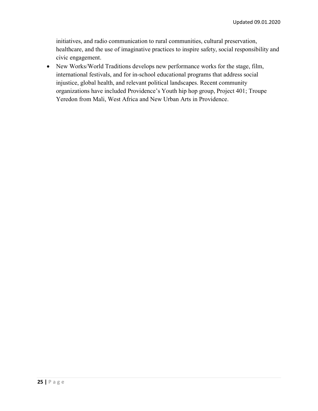initiatives, and radio communication to rural communities, cultural preservation, healthcare, and the use of imaginative practices to inspire safety, social responsibility and civic engagement.

• New Works/World Traditions develops new performance works for the stage, film, international festivals, and for in-school educational programs that address social injustice, global health, and relevant political landscapes. Recent community organizations have included Providence's Youth hip hop group, Project 401; Troupe Yeredon from Mali, West Africa and New Urban Arts in Providence.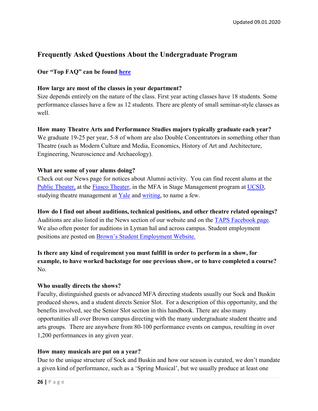## **Frequently Asked Questions About the Undergraduate Program**

#### **Our "Top FAQ" can be found [here](http://brown.edu/academics/theatre-arts-performance-studies/undergraduate/frequently-asked-questions)**

#### **How large are most of the classes in your department?**

Size depends entirely on the nature of the class. First year acting classes have 18 students. Some performance classes have a few as 12 students. There are plenty of small seminar-style classes as well.

**How many Theatre Arts and Performance Studies majors typically graduate each year?** We graduate 19-25 per year, 5-8 of whom are also Double Concentrators in something other than Theatre (such as Modern Culture and Media, Economics, History of Art and Architecture, Engineering, Neuroscience and Archaeology).

#### **What are some of your alums doing?**

Check out our News page for notices about Alumni activity. You can find recent alums at the [Public Theater,](http://www.publictheater.org/) at the [Fiasco Theater,](http://www.fiascotheater.com/) in the MFA in Stage Management program at [UCSD,](http://theatre.ucsd.edu/) studying theatre management at  $Yale$  and [writing,](http://www.sarahruhlplaywright.com/) to name a few.</u>

**How do I find out about auditions, technical positions, and other theatre related openings?** Auditions are also listed in the News section of our website and on the TAPS [Facebook page.](https://www.facebook.com/pages/TAPS-at-Brown/100262813147) We also often poster for auditions in Lyman hal and across campus. Student employment positions are posted on [Brown's Student Employment Website.](http://www.brown.edu/about/administration/student-employment/)

**Is there any kind of requirement you must fulfill in order to perform in a show, for example, to have worked backstage for one previous show, or to have completed a course?** No.

#### **Who usually directs the shows?**

Faculty, distinguished guests or advanced MFA directing students usually our Sock and Buskin produced shows, and a student directs Senior Slot. For a description of this opportunity, and the benefits involved, see the Senior Slot section in this handbook. There are also many opportunities all over Brown campus directing with the many undergraduate student theatre and arts groups. There are anywhere from 80-100 performance events on campus, resulting in over 1,200 performances in any given year.

#### **How many musicals are put on a year?**

Due to the unique structure of Sock and Buskin and how our season is curated, we don't mandate a given kind of performance, such as a 'Spring Musical', but we usually produce at least one